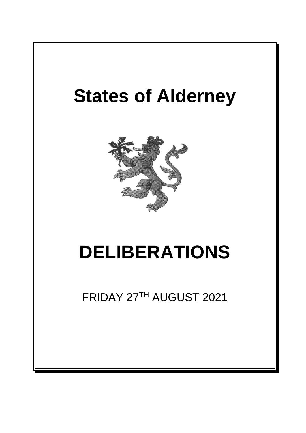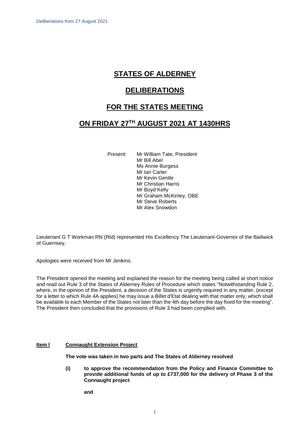# **STATES OF ALDERNEY**

## **DELIBERATIONS**

## **FOR THE STATES MEETING**

# **ON FRIDAY 27 TH AUGUST 2021 AT 1430HRS**

Present: Mr William Tate, President Mr Bill Abel Ms Annie Burgess Mr Ian Carter Mr Kevin Gentle Mr Christian Harris Mr Boyd Kelly Mr Graham McKinley, OBE Mr Steve Roberts Mr Alex Snowdon

Lieutenant G T Workman RN (Rtd) represented His Excellency The Lieutenant-Governor of the Bailiwick of Guernsey.

Apologies were received from Mr Jenkins.

The President opened the meeting and explained the reason for the meeting being called at short notice and read out Rule 3 of the States of Alderney Rules of Procedure which states "Notwithstanding Rule 2, where, in the opinion of the President, a decision of the States is urgently required in any matter, (except for a letter to which Rule 4A applies) he may issue a Billet d'Etat dealing with that matter only, which shall be available to each Member of the States not later than the 4th day before the day fixed for the meeting". The President then concluded that the provisions of Rule 3 had been complied with.

### **Item I Connaught Extension Project**

**The vote was taken in two parts and The States of Alderney resolved**

**(i) to approve the recommendation from the Policy and Finance Committee to provide additional funds of up to £737,000 for the delivery of Phase 3 of the Connaught project** 

**and**